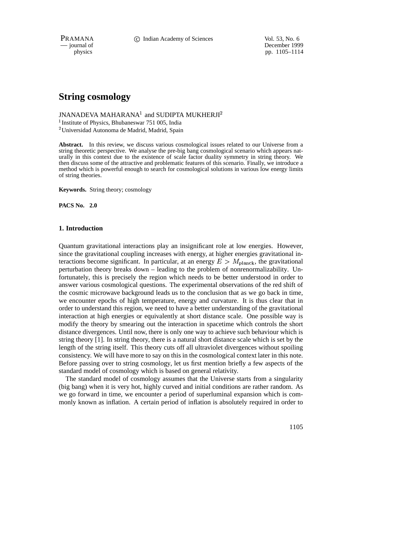PRAMANA **C** Indian Academy of Sciences Vol. 53, No. 6

— journal of December 1999 physics pp. 1105–1114

# **String cosmology**

JNANADEVA MAHARANA<sup>1</sup> and SUDIPTA MUKHERJI<sup>2</sup>

<sup>1</sup> Institute of Physics, Bhubaneswar 751 005, India

<sup>2</sup> Universidad Autonoma de Madrid, Madrid, Spain

Abstract. In this review, we discuss various cosmological issues related to our Universe from a string theoretic perspective. We analyse the pre-big bang cosmological scenario which appears naturally in this context due to the existence of scale factor duality symmetry in string theory. We then discuss some of the attractive and problematic features of this scenario. Finally, we introduce a method which is powerful enough to search for cosmological solutions in various low energy limits of string theories.

**Keywords.** String theory; cosmology

**PACS No. 2.0**

# **1. Introduction**

Quantum gravitational interactions play an insignificant role at low energies. However, since the gravitational coupling increases with energy, at higher energies gravitational interactions become significant. In particular, at an energy  $E > M_{\text{planck}}$ , the gravitational perturbation theory breaks down – leading to the problem of nonrenormalizability. Unfortunately, this is precisely the region which needs to be better understood in order to answer various cosmological questions. The experimental observations of the red shift of the cosmic microwave background leads us to the conclusion that as we go back in time, we encounter epochs of high temperature, energy and curvature. It is thus clear that in order to understand this region, we need to have a better understanding of the gravitational interaction at high energies or equivalently at short distance scale. One possible way is modify the theory by smearing out the interaction in spacetime which controls the short distance divergences. Until now, there is only one way to achieve such behaviour which is string theory [1]. In string theory, there is a natural short distance scale which is set by the length of the string itself. This theory cuts off all ultraviolet divergences without spoiling consistency. We will have more to say on this in the cosmological context later in this note. Before passing over to string cosmology, let us first mention briefly a few aspects of the standard model of cosmology which is based on general relativity.

The standard model of cosmology assumes that the Universe starts from a singularity (big bang) when it is very hot, highly curved and initial conditions are rather random. As we go forward in time, we encounter a period of superluminal expansion which is commonly known as inflation. A certain period of inflation is absolutely required in order to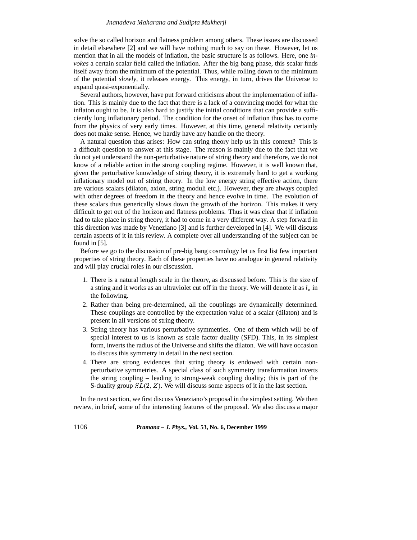solve the so called horizon and flatness problem among others. These issues are discussed in detail elsewhere [2] and we will have nothing much to say on these. However, let us mention that in all the models of inflation, the basic structure is as follows. Here, one *invokes* a certain scalar field called the inflation. After the big bang phase, this scalar finds itself away from the minimum of the potential. Thus, while rolling down to the minimum of the potential *slowly*, it releases energy. This energy, in turn, drives the Universe to expand quasi-exponentially.

Several authors, however, have put forward criticisms about the implementation of inflation. This is mainly due to the fact that there is a lack of a convincing model for what the inflaton ought to be. It is also hard to justify the initial conditions that can provide a sufficiently long inflationary period. The condition for the onset of inflation thus has to come from the physics of very early times. However, at this time, general relativity certainly does not make sense. Hence, we hardly have any handle on the theory.

A natural question thus arises: How can string theory help us in this context? This is a difficult question to answer at this stage. The reason is mainly due to the fact that we do not yet understand the non-perturbative nature of string theory and therefore, we do not know of a reliable action in the strong coupling regime. However, it is well known that, given the perturbative knowledge of string theory, it is extremely hard to get a working inflationary model out of string theory. In the low energy string effective action, there are various scalars (dilaton, axion, string moduli etc.). However, they are always coupled with other degrees of freedom in the theory and hence evolve in time. The evolution of these scalars thus generically slows down the growth of the horizon. This makes it very difficult to get out of the horizon and flatness problems. Thus it was clear that if inflation had to take place in string theory, it had to come in a very different way. A step forward in this direction was made by Veneziano [3] and is further developed in [4]. We will discuss certain aspects of it in this review. A complete over all understanding of the subject can be found in [5].

Before we go to the discussion of pre-big bang cosmology let us first list few important properties of string theory. Each of these properties have no analogue in general relativity and will play crucial roles in our discussion.

- 1. There is a natural length scale in the theory, as discussed before. This is the size of a string and it works as an ultraviolet cut off in the theory. We will denote it as  $l_s$  in the following.
- 2. Rather than being pre-determined, all the couplings are dynamically determined. These couplings are controlled by the expectation value of a scalar (dilaton) and is present in all versions of string theory.
- 3. String theory has various perturbative symmetries. One of them which will be of special interest to us is known as scale factor duality (SFD). This, in its simplest form, inverts the radius of the Universe and shifts the dilaton. We will have occasion to discuss this symmetry in detail in the next section.
- 4. There are strong evidences that string theory is endowed with certain nonperturbative symmetries. A special class of such symmetry transformation inverts the string coupling – leading to strong-weak coupling duality; this is part of the S-duality group  $SL(2, Z)$ . We will discuss some aspects of it in the last section.

In the next section, we first discuss Veneziano's proposal in the simplest setting. We then review, in brief, some of the interesting features of the proposal. We also discuss a major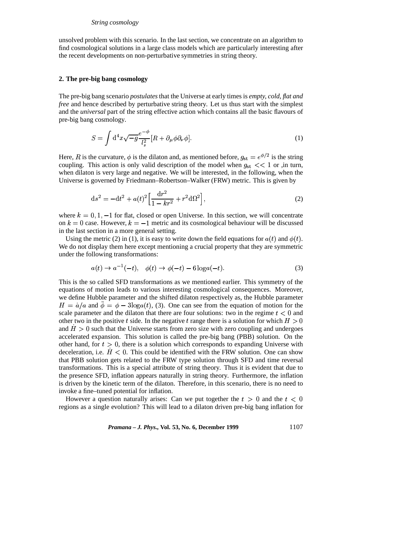# *String cosmology*

unsolved problem with this scenario. In the last section, we concentrate on an algorithm to find cosmological solutions in a large class models which are particularly interesting after the recent developments on non-perturbative symmetries in string theory.

# **2. The pre-big bang cosmology**

The pre-big bang scenario *postulates* that the Universe at early times is *empty, cold, flat and free* and hence described by perturbative string theory. Let us thus start with the simplest and the *universal* part of the string effective action which contains all the basic flavours of pre-big bang cosmology.

$$
S = \int d^4x \sqrt{-g} \frac{e^{-\phi}}{l_s^2} [R + \partial_\mu \phi \partial_\nu \phi]. \tag{1}
$$

Here, R is the curvature,  $\phi$  is the dilaton and, as mentioned before,  $g_{st} = e^{\phi/2}$  is the string struct, *H* is the envalue,  $\varphi$  is the unatoriand, as included vertice,  $y_{st} = e^{i\phi}$  is the sump coupling. This action is only valid description of the model when  $g_{st} << 1$  or ,in turn, when dilaton is very large and negative. We will be interested, in the following, when the Universe is governed by Friedmann–Robertson–Walker (FRW) metric. This is given by

$$
ds^{2} = -dt^{2} + a(t)^{2} \left[ \frac{dr^{2}}{1 - kr^{2}} + r^{2} d\Omega^{2} \right],
$$
 (2)

where  $k = 0, 1, -1$  for flat, closed or open Universe. In this section, we will concentrate on  $k = 0$  case. However,  $k = -1$  metric and its cosmological behaviour will be discussed in the last section in a more general setting.

Using the metric (2) in (1), it is easy to write down the field equations for  $a(t)$  and  $\phi(t)$ . We do not display them here except mentioning a crucial property that they are symmetric under the following transformations:

$$
a(t) \to a^{-1}(-t), \quad \phi(t) \to \phi(-t) - 6\log a(-t).
$$
 (3)

This is the so called SFD transformations as we mentioned earlier. This symmetry of the equations of motion leads to various interesting cosmological consequences. Moreover, we define Hubble parameter and the shifted dilaton respectively as, the Hubble parameter  $H = \dot{a}/a$  and  $\bar{\phi} = \phi - 3\log a(t)$ , (3). One can see from the equation of motion for the seek normalized that there are four selutions; two in the motion for the scale parameter and the dilaton that there are four solutions: two in the regime  $t < 0$  and other two in the positive t side. In the negative t range there is a solution for which  $H > 0$ and  $H > 0$  such that the Universe starts from zero size with zero coupling and undergoes accelerated expansion. This solution is called the pre-big bang (PBB) solution. On the  $\alpha$  solution. This solution is called the pre-org bang (1 BB) solution. On the other hand, for  $t > 0$ , there is a solution which corresponds to expanding Universe with deceleration, i.e.  $H < 0$ . This could be identified with the FRW solution. One can show that PBB solution gets related to the FRW type solution through SFD and time reversal transformations. This is a special attribute of string theory. Thus it is evident that due to the presence SFD, inflation appears naturally in string theory. Furthermore, the inflation is driven by the kinetic term of the dilaton. Therefore, in this scenario, there is no need to invoke a fine–tuned potential for inflation.

However a question naturally arises: Can we put together the  $t > 0$  and the  $t < 0$ regions as a single evolution? This will lead to a dilaton driven pre-big bang inflation for

*Pramana – J. Phys.,* **Vol. 53, No. 6, December 1999** 1107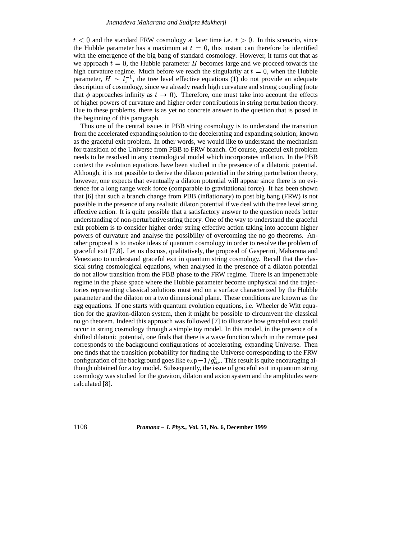$t < 0$  and the standard FRW cosmology at later time i.e.  $t > 0$ . In this scenario, since the Hubble parameter has a maximum at  $t = 0$ , this instant can therefore be identified with the emergence of the big bang of standard cosmology. However, it turns out that as which the emergence of the original of standard cosmology. However, it turns out that as<br>we approach  $t = 0$ , the Hubble parameter H becomes large and we proceed towards the high curvature regime. Much before we reach the singularity at  $t = 0$ , when the Hubble parameter,  $H \sim l_s^{-1}$ , the tree level effective equations (1) do not provide an adequate description of cosmology, since we already reach high curvature and strong coupling (note that  $\phi$  approaches infinity as  $t \to 0$ . Therefore, one must take into account the effects of higher powers of curvature and higher order contributions in string perturbation theory. Due to these problems, there is as yet no concrete answer to the question that is posed in the beginning of this paragraph.

Thus one of the central issues in PBB string cosmology is to understand the transition from the accelerated expanding solution to the decelerating and expanding solution; known as the graceful exit problem. In other words, we would like to understand the mechanism for transition of the Universe from PBB to FRW branch. Of course, graceful exit problem needs to be resolved in any cosmological model which incorporates inflation. In the PBB context the evolution equations have been studied in the presence of a dilatonic potential. Although, it is not possible to derive the dilaton potential in the string perturbation theory, however, one expects that eventually a dilaton potential will appear since there is no evidence for a long range weak force (comparable to gravitational force). It has been shown that [6] that such a branch change from PBB (inflationary) to post big bang (FRW) is not possible in the presence of any realistic dilaton potential if we deal with the tree level string effective action. It is quite possible that a satisfactory answer to the question needs better understanding of non-perturbative string theory. One of the way to understand the graceful exit problem is to consider higher order string effective action taking into account higher powers of curvature and analyse the possibility of overcoming the no go theorems. Another proposal is to invoke ideas of quantum cosmology in order to resolve the problem of graceful exit [7,8]. Let us discuss, qualitatively, the proposal of Gasperini, Maharana and Veneziano to understand graceful exit in quantum string cosmology. Recall that the classical string cosmological equations, when analysed in the presence of a dilaton potential do not allow transition from the PBB phase to the FRW regime. There is an impenetrable regime in the phase space where the Hubble parameter become unphysical and the trajectories representing classical solutions must end on a surface characterized by the Hubble parameter and the dilaton on a two dimensional plane. These conditions are known as the egg equations. If one starts with quantum evolution equations, i.e. Wheeler de Witt equation for the graviton-dilaton system, then it might be possible to circumvent the classical no go theorem. Indeed this approach was followed [7] to illustrate how graceful exit could occur in string cosmology through a simple toy model. In this model, in the presence of a shifted dilatonic potential, one finds that there is a wave function which in the remote past corresponds to the background configurations of accelerating, expanding Universe. Then one finds that the transition probability for finding the Universe corresponding to the FRW configuration of the background goes like  $\exp -1/g_{str}^2$ . This result is quite encouraging al-<br>though obtained for a teu model. Subsequently, the issue of grossful with a wantum string though obtained for a toy model. Subsequently, the issue of graceful exit in quantum string cosmology was studied for the graviton, dilaton and axion system and the amplitudes were calculated [8].

1108 *Pramana – J. Phys.,* **Vol. 53, No. 6, December 1999**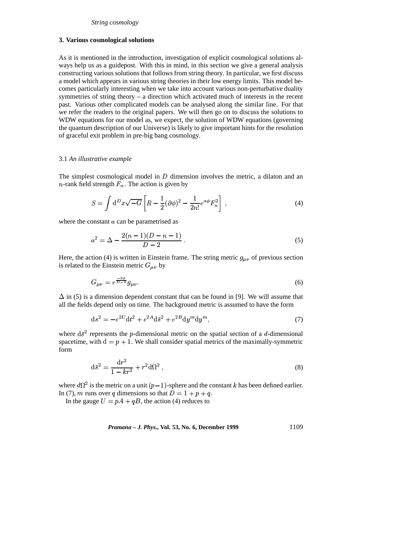#### **3. Various cosmological solutions**

As it is mentioned in the introduction, investigation of explicit cosmological solutions always help us as a guidepost. With this in mind, in this section we give a general analysis constructing varioussolutions that followsfrom string theory. In particular, we first discuss a model which appears in various string theories in their low energy limits. This model becomes particularly interesting when we take into account various non-perturbative duality symmetries of string theory – a direction which activated much of interests in the recent past. Various other complicated models can be analysed along the similar line. For that we refer the readers to the original papers. We will then go on to discuss the solutions to WDW equations for our model as, we expect, the solution of WDW equations (governing the quantum description of our Universe) is likely to give important hints for the resolution of graceful exit problem in pre-big bang cosmology.

# 3.1 *An illustrative example*

The simplest cosmological model in  $D$  dimension involves the metric, a dilaton and an *n*-rank field strength  $F_n$ . The action is given by

$$
S = \int d^D x \sqrt{-G} \left[ R - \frac{1}{2} (\partial \phi)^2 - \frac{1}{2n!} e^{a\phi} F_n^2 \right] , \qquad (4)
$$

where the constant  $a$  can be parametrised as

$$
a^2 = \Delta - \frac{2(n-1)(D-n-1)}{D-2} \,. \tag{5}
$$

Here, the action (4) is written in Einstein frame. The string metric  $g_{\mu\nu}$  of previous section is related to the Einstein metric  $G_{\mu\nu}$  by

$$
G_{\mu\nu} = e^{\frac{-2\phi}{D-2}} g_{\mu\nu}.
$$
\n<sup>(6)</sup>

 $\Delta$  in (5) is a dimension dependent constant that can be found in [9]. We will assume that all the fields depend only on time. The background metric is assumed to have the form

$$
ds^{2} = -e^{2U}dt^{2} + e^{2A}d\bar{s}^{2} + e^{2B}dy^{m}dy^{m},
$$
\n(7)

where  $d\bar{s}^2$  represents the p-dimensional metric on the spatial section of a d-dimensional spacetime, with  $d = p + 1$ . We shall consider spatial metrics of the maximally-symmetric form

$$
d\bar{s}^2 = \frac{dr^2}{1 - kr^2} + r^2 d\Omega^2 ,
$$
 (8)

where  $d\Omega^2$  is the metric on a unit  $(p-1)$ -sphere and the constant k has been defined earlier. In (7), *m* runs over *q* dimensions so that  $D = 1 + p + q$ .

In the gauge  $U = pA + qB$ , the action (4) reduces to

*Pramana – J. Phys.,* **Vol. 53, No. 6, December 1999** 1109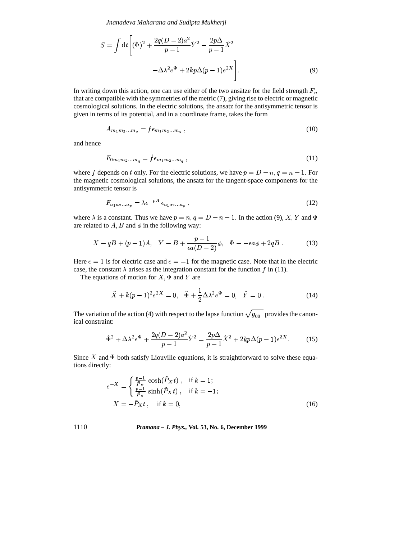Jnanadeva Maharana and Sudipta Mukherji

$$
S = \int dt \left[ (\dot{\Phi})^2 + \frac{2q(D-2)a^2}{p-1} \dot{Y}^2 - \frac{2p\Delta}{p-1} \dot{X}^2 - \Delta \lambda^2 e^{\Phi} + 2kp\Delta(p-1)e^{2X} \right].
$$
 (9)

In writing down this action, one can use either of the two ansätze for the field strength  $F_n$ that are compatible with the symmetries of the metric (7), giving rise to electric or magnetic cosmological solutions. In the electric solutions, the ansatz for the antisymmetric tensor is given in terms of its potential, and in a coordinate frame, takes the form

$$
A_{m_1m_2\ldots m_q} = f\epsilon_{m_1m_2\ldots m_q} \,,\tag{10}
$$

and hence

$$
F_{0m_1m_2\ldots m_q} = \dot{f}\epsilon_{m_1m_2\ldots m_q} \,, \tag{11}
$$

where f depends on t only. For the electric solutions, we have  $p = D - n$ ,  $q = n - 1$ . For the magnetic cosmological solutions, the ansatz for the tangent-space components for the antisymmetric tensor is

$$
F_{a_1 a_2 ... a_p} = \lambda e^{-pA} \epsilon_{a_1 a_2 ... a_p} \,, \tag{12}
$$

where  $\lambda$  is a constant. Thus we have  $p = n$ ,  $q = D - n - 1$ . In the action (9), X, Y and  $\Phi$ are related to  $A, B$  and  $\phi$  in the following way:

$$
X \equiv qB + (p-1)A, \quad Y \equiv B + \frac{p-1}{\epsilon a(D-2)}\phi, \quad \Phi \equiv -\epsilon a\phi + 2qB. \tag{13}
$$

Here  $\epsilon = 1$  is for electric case and  $\epsilon = -1$  for the magnetic case. Note that in the electric case, the constant  $\lambda$  arises as the integration constant for the function f in (11).

The equations of motion for  $X$ ,  $\Phi$  and  $Y$  are

$$
\ddot{X} + k(p-1)^2 e^{2X} = 0, \quad \ddot{\Phi} + \frac{1}{2} \Delta \lambda^2 e^{\Phi} = 0, \quad \ddot{Y} = 0 \,. \tag{14}
$$

The variation of the action (4) with respect to the lapse function  $\sqrt{g_{00}}$  provides the canonical constraint:

$$
\dot{\Phi}^2 + \Delta \lambda^2 e^{\Phi} + \frac{2q(D-2)a^2}{p-1} \dot{Y}^2 = \frac{2p\Delta}{p-1} \dot{X}^2 + 2kp\Delta(p-1)e^{2X}.
$$
 (15)

Since  $X$  and  $\Phi$  both satisfy Liouville equations, it is straightforward to solve these equations directly:

$$
e^{-X} = \begin{cases} \frac{p-1}{\tilde{P}_X} \cosh(\tilde{P}_X t), & \text{if } k = 1; \\ \frac{p-1}{\tilde{P}_X} \sinh(\tilde{P}_X t), & \text{if } k = -1; \end{cases}
$$
  

$$
X = -\tilde{P}_X t, \text{ if } k = 0,
$$
 (16)

Pramana - J. Phys., Vol. 53, No. 6, December 1999

1110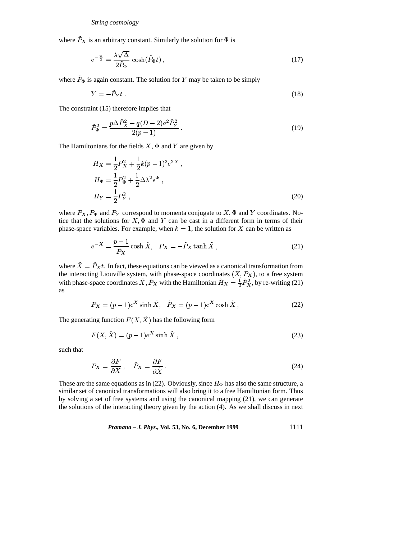where  $\tilde{P}_X$  is an arbitrary constant. Similarly the solution for  $\Phi$  is

$$
e^{-\frac{\Phi}{2}} = \frac{\lambda\sqrt{\Delta}}{2\tilde{P}_{\Phi}}\cosh(\tilde{P}_{\Phi}t) , \qquad (17)
$$

where  $\tilde{P}_{\Phi}$  is again constant. The solution for Y may be taken to be simply

$$
Y = -\tilde{P}_Y t \tag{18}
$$

The constraint  $(15)$  therefore implies that

$$
\tilde{P}_{\Phi}^2 = \frac{p\Delta\tilde{P}_X^2 - q(D-2)a^2\tilde{P}_Y^2}{2(p-1)}\,. \tag{19}
$$

The Hamiltonians for the fields  $X$ ,  $\Phi$  and  $Y$  are given by

$$
H_X = \frac{1}{2}P_X^2 + \frac{1}{2}k(p-1)^2e^{2X},
$$
  
\n
$$
H_{\Phi} = \frac{1}{2}P_{\Phi}^2 + \frac{1}{2}\Delta\lambda^2e^{\Phi},
$$
  
\n
$$
H_Y = \frac{1}{2}P_Y^2,
$$
\n(20)

where  $P_X$ ,  $P_{\Phi}$  and  $P_Y$  correspond to momenta conjugate to X,  $\Phi$  and Y coordinates. Notice that the solutions for  $X$ ,  $\Phi$  and  $Y$  can be cast in a different form in terms of their phase-space variables. For example, when  $k = 1$ , the solution for X can be written as

$$
e^{-X} = \frac{p-1}{\tilde{P}_X} \cosh \tilde{X}, \quad P_X = -\tilde{P}_X \tanh \tilde{X}, \tag{21}
$$

where  $\tilde{X} = \tilde{P}_X t$ . In fact, these equations can be viewed as a canonical transformation from the interacting Liouville system, with phase-space coordinates  $(X, P_X)$ , to a free system with phase-space coordinates  $\tilde{X}, \tilde{P}_X$  with the Hamiltonian  $\tilde{H}_X = \frac{1}{2}\tilde{P}_X^2$ , by re-writing (21) as

$$
P_X = (p-1)e^X \sinh \tilde{X}, \quad \tilde{P}_X = (p-1)e^X \cosh \tilde{X}, \tag{22}
$$

The generating function  $F(X, \tilde{X})$  has the following form

$$
F(X, \tilde{X}) = (p-1)e^X \sinh \tilde{X}, \qquad (23)
$$

such that

$$
P_X = \frac{\partial F}{\partial X} \,, \quad \tilde{P}_X = \frac{\partial F}{\partial \tilde{X}} \,. \tag{24}
$$

These are the same equations as in (22). Obviously, since  $H_{\Phi}$  has also the same structure, a similar set of canonical transformations will also bring it to a free Hamiltonian form. Thus by solving a set of free systems and using the canonical mapping  $(21)$ , we can generate the solutions of the interacting theory given by the action (4). As we shall discuss in next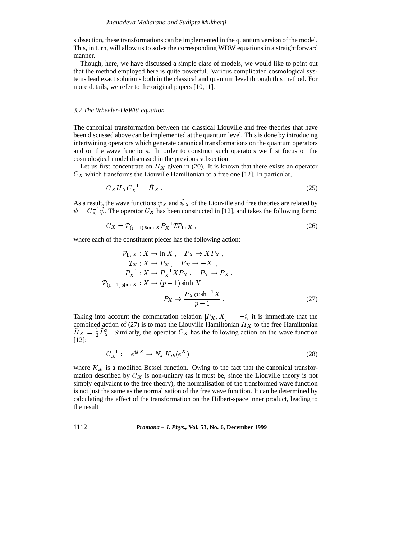#### Jnanadeva Maharana and Sudipta Mukherji

subsection, these transformations can be implemented in the quantum version of the model. This, in turn, will allow us to solve the corresponding WDW equations in a straightforward manner.

Though, here, we have discussed a simple class of models, we would like to point out that the method employed here is quite powerful. Various complicated cosmological systems lead exact solutions both in the classical and quantum level through this method. For more details, we refer to the original papers [10,11].

## 3.2 The Wheeler-DeWitt equation

The canonical transformation between the classical Liouville and free theories that have been discussed above can be implemented at the quantum level. This is done by introducing intertwining operators which generate canonical transformations on the quantum operators and on the wave functions. In order to construct such operators we first focus on the cosmological model discussed in the previous subsection.

Let us first concentrate on  $H_X$  given in (20). It is known that there exists an operator  $C<sub>X</sub>$  which transforms the Liouville Hamiltonian to a free one [12]. In particular,

$$
C_X H_X C_X^{-1} = \tilde{H}_X \tag{25}
$$

As a result, the wave functions  $\psi_X$  and  $\bar{\psi}_X$  of the Liouville and free theories are related by  $\psi = C_X^{-1} \tilde{\psi}$ . The operator  $C_X$  has been constructed in [12], and takes the following form:

$$
C_X = \mathcal{P}_{(p-1)\sinh X} P_X^{-1} \mathcal{I} \mathcal{P}_{\ln X} , \qquad (26)
$$

where each of the constituent pieces has the following action:

$$
\mathcal{P}_{\ln X}: X \to \ln X, \quad P_X \to X P_X ,
$$
  
\n
$$
\mathcal{I}_X: X \to P_X, \quad P_X \to -X ,
$$
  
\n
$$
P_X^{-1}: X \to P_X^{-1} X P_X, \quad P_X \to P_X ,
$$
  
\n
$$
\mathcal{P}_{(p-1) \sinh X}: X \to (p-1) \sinh X ,
$$
  
\n
$$
P_X \to \frac{P_X \cosh^{-1} X}{p-1} .
$$
\n(27)

Taking into account the commutation relation  $[P_X, X] = -i$ , it is immediate that the combined action of (27) is to map the Liouville Hamiltonian  $H_X$  to the free Hamiltonian  $\tilde{H}_X = \frac{1}{2}\tilde{P}_X^2$ . Similarly, the operator  $C_X$  has the following action on the wave function  $[12]$ :

$$
C_X^{-1}: \quad e^{ikX} \to N_k K_{ik}(e^X) \,, \tag{28}
$$

where  $K_{ik}$  is a modified Bessel function. Owing to the fact that the canonical transformation described by  $C_x$  is non-unitary (as it must be, since the Liouville theory is not simply equivalent to the free theory), the normalisation of the transformed wave function is not just the same as the normalisation of the free wave function. It can be determined by calculating the effect of the transformation on the Hilbert-space inner product, leading to the result

1112 Pramana - J. Phys., Vol. 53, No. 6, December 1999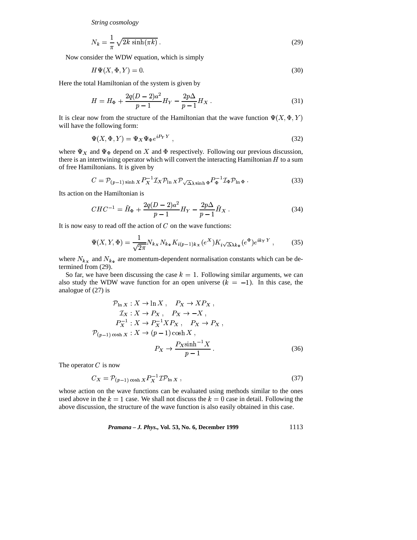String cosmology

$$
N_k = \frac{1}{\pi} \sqrt{2k \sinh(\pi k)} \,. \tag{29}
$$

Now consider the WDW equation, which is simply

$$
H\Psi(X,\Phi,Y) = 0.\t\t(30)
$$

Here the total Hamiltonian of the system is given by

$$
H = H_{\Phi} + \frac{2q(D-2)a^2}{p-1}H_Y - \frac{2p\Delta}{p-1}H_X.
$$
\n(31)

It is clear now from the structure of the Hamiltonian that the wave function  $\Psi(X, \Phi, Y)$ will have the following form:

$$
\Psi(X, \Phi, Y) = \Psi_X \Psi_\Phi e^{iP_Y Y}, \qquad (32)
$$

where  $\Psi_X$  and  $\Psi_{\Phi}$  depend on X and  $\Phi$  respectively. Following our previous discussion, there is an intertwining operator which will convert the interacting Hamiltonian  $H$  to a sum of free Hamiltonians. It is given by

$$
C = \mathcal{P}_{(p-1)\sinh X} P_X^{-1} \mathcal{I}_X \mathcal{P}_{\ln X} \mathcal{P}_{\sqrt{\Delta}\lambda \sinh \Phi} P_{\Phi}^{-1} \mathcal{I}_{\Phi} \mathcal{P}_{\ln \Phi}.
$$
 (33)

Its action on the Hamiltonian is

$$
CHC^{-1} = \tilde{H}_{\Phi} + \frac{2q(D-2)a^2}{p-1}H_Y - \frac{2p\Delta}{p-1}\tilde{H}_X.
$$
 (34)

It is now easy to read off the action of  $C$  on the wave functions:

$$
\Psi(X, Y, \Phi) = \frac{1}{\sqrt{2\pi}} N_{k_X} N_{k_{\Phi}} K_{i(p-1)k_X}(e^X) K_{i\sqrt{\Delta}\lambda k_{\Phi}}(e^{\Phi}) e^{ik_Y Y} , \qquad (35)
$$

where  $N_{kx}$  and  $N_{k\phi}$  are momentum-dependent normalisation constants which can be determined from (29).

So far, we have been discussing the case  $k = 1$ . Following similar arguments, we can also study the WDW wave function for an open universe  $(k = -1)$ . In this case, the analogue of  $(27)$  is

$$
\mathcal{P}_{\ln X}: X \to \ln X, \quad P_X \to X P_X ,
$$
  
\n
$$
\mathcal{I}_X: X \to P_X, \quad P_X \to -X ,
$$
  
\n
$$
P_X^{-1}: X \to P_X^{-1} X P_X, \quad P_X \to P_X ,
$$
  
\n
$$
\mathcal{P}_{(p-1)\cosh X}: X \to (p-1)\cosh X ,
$$
  
\n
$$
P_X \to \frac{P_X \sinh^{-1} X}{p-1} .
$$
\n(36)

The operator  $C$  is now

$$
C_X = \mathcal{P}_{(p-1)\cosh X} P_X^{-1} \mathcal{I} \mathcal{P}_{\ln X} , \qquad (37)
$$

whose action on the wave functions can be evaluated using methods similar to the ones used above in the  $k = 1$  case. We shall not discuss the  $k = 0$  case in detail. Following the above discussion, the structure of the wave function is also easily obtained in this case.

> Pramana - J. Phys., Vol. 53, No. 6, December 1999 1113